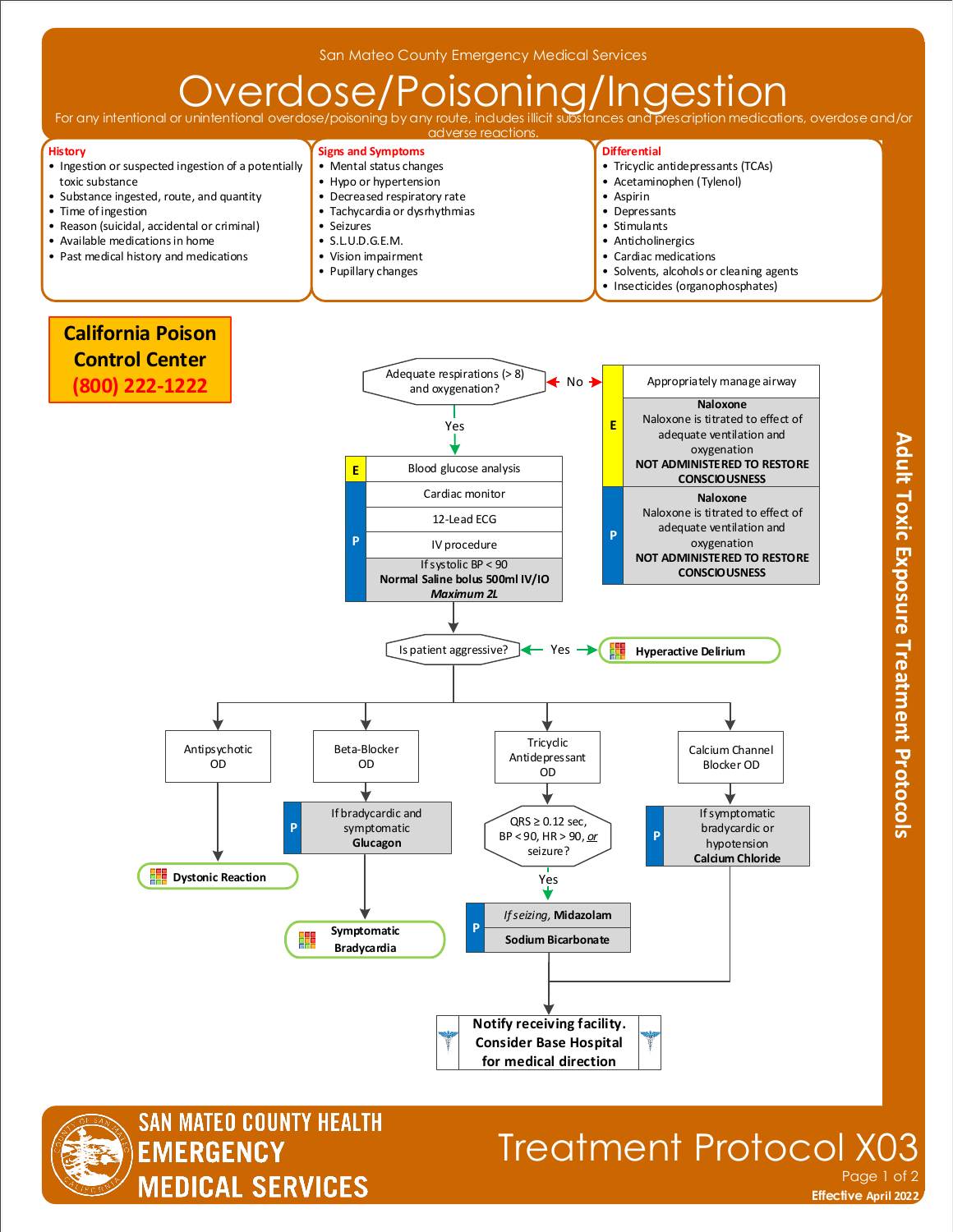# $\overline{\text{Overolos}}/\text{Poisson}_{\text{r}}\overline{\text{Oose}}/\text{Poisson}_{\text{r}}$

For any intentional or unintentional



**Symptomatic Bradycardia** 



**Dystonic Reaction** 

## Treatment Protocol X0 Page 1 of 2

Yes

**Sodium Bicarbonate**  *If seizing,* **Midazolam**

**P**

**Notify receiving facility. Consider Base Hospital for medical direction**

**Effective November 2018 Effective April 2022**